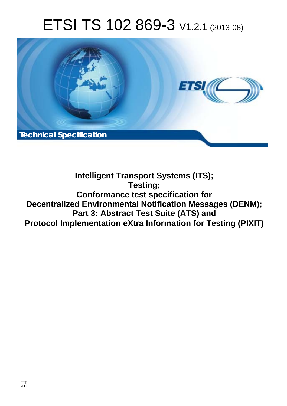# ETSI TS 102 869-3 V1.2.1 (2013-08)



**Intelligent Transport Systems (ITS); Testing; Conformance test specification for Decentralized Environmental Notification Messages (DENM); Part 3: Abstract Test Suite (ATS) and Protocol Implementation eXtra Information for Testing (PIXIT)**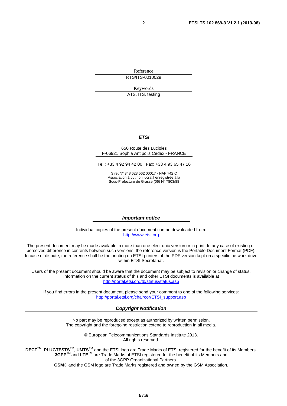Reference RTS/ITS-0010029

Keywords

ATS, ITS, testing

#### *ETSI*

#### 650 Route des Lucioles F-06921 Sophia Antipolis Cedex - FRANCE

Tel.: +33 4 92 94 42 00 Fax: +33 4 93 65 47 16

Siret N° 348 623 562 00017 - NAF 742 C Association à but non lucratif enregistrée à la Sous-Préfecture de Grasse (06) N° 7803/88

#### *Important notice*

Individual copies of the present document can be downloaded from: [http://www.etsi.org](http://www.etsi.org/)

The present document may be made available in more than one electronic version or in print. In any case of existing or perceived difference in contents between such versions, the reference version is the Portable Document Format (PDF). In case of dispute, the reference shall be the printing on ETSI printers of the PDF version kept on a specific network drive within ETSI Secretariat.

Users of the present document should be aware that the document may be subject to revision or change of status. Information on the current status of this and other ETSI documents is available at <http://portal.etsi.org/tb/status/status.asp>

If you find errors in the present document, please send your comment to one of the following services: [http://portal.etsi.org/chaircor/ETSI\\_support.asp](http://portal.etsi.org/chaircor/ETSI_support.asp)

#### *Copyright Notification*

No part may be reproduced except as authorized by written permission. The copyright and the foregoing restriction extend to reproduction in all media.

> © European Telecommunications Standards Institute 2013. All rights reserved.

DECT<sup>™</sup>, PLUGTESTS<sup>™</sup>, UMTS<sup>™</sup> and the ETSI logo are Trade Marks of ETSI registered for the benefit of its Members. **3GPP**TM and **LTE**TM are Trade Marks of ETSI registered for the benefit of its Members and of the 3GPP Organizational Partners.

**GSM**® and the GSM logo are Trade Marks registered and owned by the GSM Association.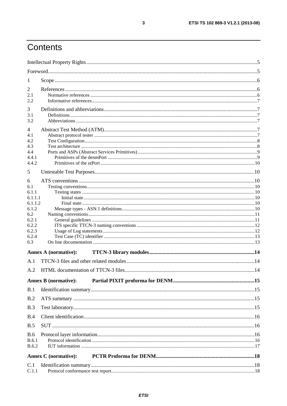## Contents

| 1                                                                                                  |                             |  |
|----------------------------------------------------------------------------------------------------|-----------------------------|--|
| 2<br>2.1<br>2.2                                                                                    |                             |  |
| 3<br>3.1<br>3.2                                                                                    |                             |  |
| $\overline{4}$<br>4.1<br>4.2<br>4.3<br>4.4<br>4.4.1<br>4.4.2                                       |                             |  |
| 5                                                                                                  |                             |  |
| 6<br>6.1<br>6.1.1<br>6.1.1.1<br>6.1.1.2<br>6.1.2<br>6.2<br>6.2.1<br>6.2.2<br>6.2.3<br>6.2.4<br>6.3 |                             |  |
|                                                                                                    | <b>Annex A (normative):</b> |  |
| A.1                                                                                                |                             |  |
| A.2                                                                                                |                             |  |
|                                                                                                    | <b>Annex B</b> (normative): |  |
| B.1                                                                                                |                             |  |
| B.2                                                                                                |                             |  |
| B.3                                                                                                |                             |  |
| B.4                                                                                                |                             |  |
| B.5                                                                                                |                             |  |
| <b>B.6</b><br><b>B.6.1</b><br><b>B.6.2</b>                                                         |                             |  |
|                                                                                                    | <b>Annex C</b> (normative): |  |
| C.1<br>C.1.1                                                                                       |                             |  |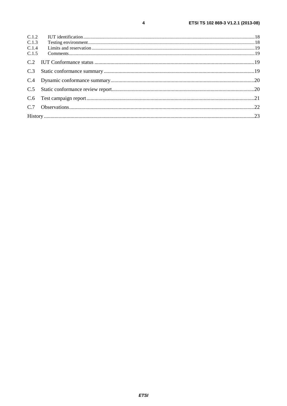| C.1.3 |  |
|-------|--|
| C.1.4 |  |
|       |  |
|       |  |
|       |  |
|       |  |
|       |  |
|       |  |
|       |  |

 $\overline{\mathbf{4}}$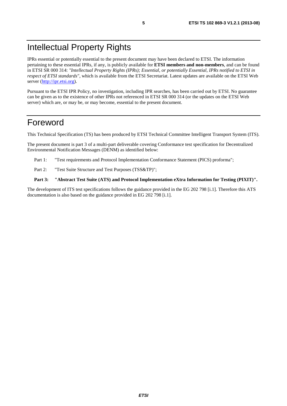## Intellectual Property Rights

IPRs essential or potentially essential to the present document may have been declared to ETSI. The information pertaining to these essential IPRs, if any, is publicly available for **ETSI members and non-members**, and can be found in ETSI SR 000 314: *"Intellectual Property Rights (IPRs); Essential, or potentially Essential, IPRs notified to ETSI in respect of ETSI standards"*, which is available from the ETSI Secretariat. Latest updates are available on the ETSI Web server [\(http://ipr.etsi.org\)](http://webapp.etsi.org/IPR/home.asp).

Pursuant to the ETSI IPR Policy, no investigation, including IPR searches, has been carried out by ETSI. No guarantee can be given as to the existence of other IPRs not referenced in ETSI SR 000 314 (or the updates on the ETSI Web server) which are, or may be, or may become, essential to the present document.

### Foreword

This Technical Specification (TS) has been produced by ETSI Technical Committee Intelligent Transport System (ITS).

The present document is part 3 of a multi-part deliverable covering Conformance test specification for Decentralized Environmental Notification Messages (DENM) as identified below:

- Part 1: "Test requirements and Protocol Implementation Conformance Statement (PICS) proforma";
- Part 2: "Test Suite Structure and Test Purposes (TSS&TP)";

#### **Part 3: "Abstract Test Suite (ATS) and Protocol Implementation eXtra Information for Testing (PIXIT)".**

The development of ITS test specifications follows the guidance provided in the EG 202 798 [i.1]. Therefore this ATS documentation is also based on the guidance provided in EG 202 798 [i.1].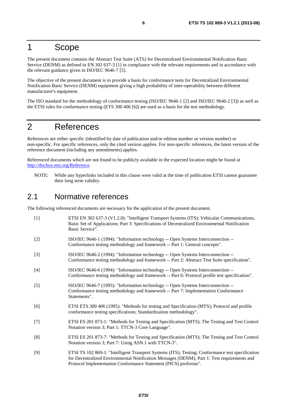### 1 Scope

The present document contains the Abstract Test Suite (ATS) for Decentralized Environmental Notification Basic Service (DENM) as defined in EN 302 637-3 [1] in compliance with the relevant requirements and in accordance with the relevant guidance given in ISO/IEC 9646-7 [5].

The objective of the present document is to provide a basis for conformance tests for Decentralized Environmental Notification Basic Service (DENM) equipment giving a high probability of inter-operability between different manufacturer's equipment.

The ISO standard for the methodology of conformance testing (ISO/IEC 9646-1 [2] and ISO/IEC 9646-2 [3]) as well as the ETSI rules for conformance testing (ETS 300 406 [6]) are used as a basis for the test methodology.

## 2 References

References are either specific (identified by date of publication and/or edition number or version number) or non-specific. For specific references, only the cited version applies. For non-specific references, the latest version of the reference document (including any amendments) applies.

Referenced documents which are not found to be publicly available in the expected location might be found at [http://docbox.etsi.org/Reference.](http://docbox.etsi.org/Reference)

NOTE: While any hyperlinks included in this clause were valid at the time of publication ETSI cannot guarantee their long term validity.

### 2.1 Normative references

The following referenced documents are necessary for the application of the present document.

[1] ETSI EN 302 637-3 (V1.2.0): "Intelligent Transport Systems (ITS); Vehicular Communications; Basic Set of Applications; Part 3: Specifications of Decentralized Environmental Notification Basic Service". [2] ISO/IEC 9646-1 (1994): "Information technology -- Open Systems Interconnection -- Conformance testing methodology and framework -- Part 1: General concepts". [3] ISO/IEC 9646-2 (1994): "Information technology -- Open Systems Interconnection -- Conformance testing methodology and framework -- Part 2: Abstract Test Suite specification". [4] ISO/IEC 9646-6 (1994): "Information technology -- Open Systems Interconnection -- Conformance testing methodology and framework -- Part 6: Protocol profile test specification". [5] ISO/IEC 9646-7 (1995): "Information technology -- Open Systems Interconnection -- Conformance testing methodology and framework -- Part 7: Implementation Conformance Statements". [6] ETSI ETS 300 406 (1995): "Methods for testing and Specification (MTS); Protocol and profile conformance testing specifications; Standardization methodology". [7] ETSI ES 201 873-1: "Methods for Testing and Specification (MTS); The Testing and Test Control Notation version 3; Part 1: TTCN-3 Core Language". [8] ETSI ES 201 873-7: "Methods for Testing and Specification (MTS); The Testing and Test Control Notation version 3; Part 7: Using ASN.1 with TTCN-3". [9] ETSI TS 102 869-1: "Intelligent Transport Systems (ITS); Testing; Conformance test specification for Decentralized Environmental Notification Messages (DENM); Part 1: Test requirements and

Protocol Implementation Conformance Statement (PICS) proforma".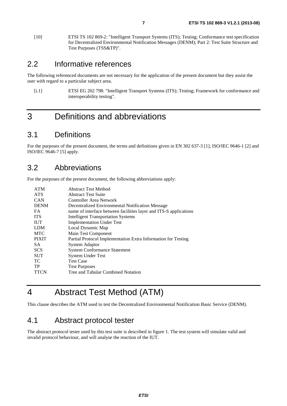[10] ETSI TS 102 869-2: "Intelligent Transport Systems (ITS); Testing; Conformance test specification for Decentralized Environmental Notification Messages (DENM); Part 2: Test Suite Structure and Test Purposes (TSS&TP)".

### 2.2 Informative references

The following referenced documents are not necessary for the application of the present document but they assist the user with regard to a particular subject area.

[i.1] ETSI EG 202 798: "Intelligent Transport Systems (ITS); Testing; Framework for conformance and interoperability testing".

## 3 Definitions and abbreviations

### 3.1 Definitions

For the purposes of the present document, the terms and definitions given in EN 302 637-3 [1], ISO/IEC 9646-1 [2] and ISO/IEC 9646-7 [5] apply.

### 3.2 Abbreviations

For the purposes of the present document, the following abbreviations apply:

| <b>ATM</b>   | <b>Abstract Test Method</b>                                       |
|--------------|-------------------------------------------------------------------|
| <b>ATS</b>   | <b>Abstract Test Suite</b>                                        |
| <b>CAN</b>   | Controller Area Network                                           |
| <b>DENM</b>  | Decentralized Environmental Notification Message                  |
| <b>FA</b>    | name of interface between facilities layer and ITS-S applications |
| <b>ITS</b>   | <b>Intelligent Transportation Systems</b>                         |
| <b>IUT</b>   | <b>Implementation Under Test</b>                                  |
| <b>LDM</b>   | Local Dynamic Map                                                 |
| <b>MTC</b>   | Main Test Component                                               |
| <b>PIXIT</b> | Partial Protocol Implementation Extra Information for Testing     |
| SA.          | <b>System Adaptor</b>                                             |
| <b>SCS</b>   | <b>System Conformance Statement</b>                               |
| <b>SUT</b>   | <b>System Under Test</b>                                          |
| TC.          | <b>Test Case</b>                                                  |
| TP           | <b>Test Purposes</b>                                              |
| <b>TTCN</b>  | Tree and Tabular Combined Notation                                |
|              |                                                                   |

## 4 Abstract Test Method (ATM)

This clause describes the ATM used to test the Decentralized Environmental Notification Basic Service (DENM).

### 4.1 Abstract protocol tester

The abstract protocol tester used by this test suite is described in figure 1. The test system will simulate valid and invalid protocol behaviour, and will analyse the reaction of the IUT.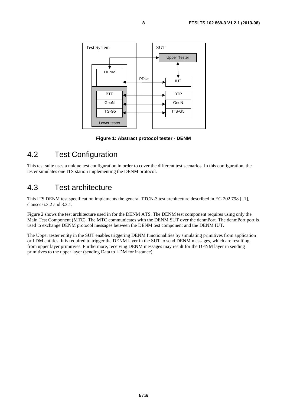

**Figure 1: Abstract protocol tester - DENM** 

## 4.2 Test Configuration

This test suite uses a unique test configuration in order to cover the different test scenarios. In this configuration, the tester simulates one ITS station implementing the DENM protocol.

### 4.3 Test architecture

This ITS DENM test specification implements the general TTCN-3 test architecture described in EG 202 798 [i.1], clauses 6.3.2 and 8.3.1.

Figure 2 shows the test architecture used in for the DENM ATS. The DENM test component requires using only the Main Test Component (MTC). The MTC communicates with the DENM SUT over the denmPort. The denmPort port is used to exchange DENM protocol messages between the DENM test component and the DENM IUT.

The Upper tester entity in the SUT enables triggering DENM functionalities by simulating primitives from application or LDM entities. It is required to trigger the DENM layer in the SUT to send DENM messages, which are resulting from upper layer primitives. Furthermore, receiving DENM messages may result for the DENM layer in sending primitives to the upper layer (sending Data to LDM for instance).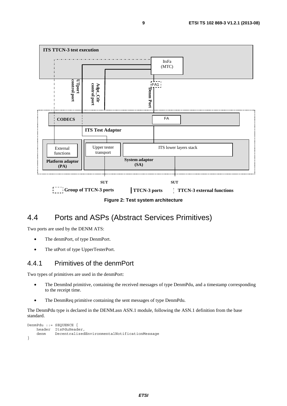

**Figure 2: Test system architecture** 

### 4.4 Ports and ASPs (Abstract Services Primitives)

Two ports are used by the DENM ATS:

- The denmPort, of type DenmPort.
- The utPort of type UpperTesterPort.

#### 4.4.1 Primitives of the denmPort

Two types of primitives are used in the denmPort:

- The DenmInd primitive, containing the received messages of type DenmPdu, and a timestamp corresponding to the receipt time.
- The DenmReq primitive containing the sent messages of type DenmPdu.

The DenmPdu type is declared in the DENM.asn ASN.1 module, following the ASN.1 definition from the base standard.

```
DenmPdu ::= SEQUENCE { 
    header ItsPduHeader, 
     denm DecentralizedEnvironmentalNotificationMessage 
}
```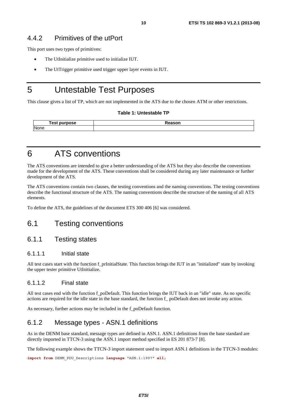#### 4.4.2 Primitives of the utPort

This port uses two types of primitives:

- The UtInitialize primitive used to initialize IUT.
- The UtTrigger primitive used trigger upper layer events in IUT.

### 5 Untestable Test Purposes

This clause gives a list of TP, which are not implemented in the ATS due to the chosen ATM or other restrictions.

#### **Table 1: Untestable TP**

| 「est<br>purpose | Reason |
|-----------------|--------|
| None            |        |

### 6 ATS conventions

The ATS conventions are intended to give a better understanding of the ATS but they also describe the conventions made for the development of the ATS. These conventions shall be considered during any later maintenance or further development of the ATS.

The ATS conventions contain two clauses, the testing conventions and the naming conventions. The testing conventions describe the functional structure of the ATS. The naming conventions describe the structure of the naming of all ATS elements.

To define the ATS, the guidelines of the document ETS 300 406 [6] was considered.

### 6.1 Testing conventions

#### 6.1.1 Testing states

#### 6.1.1.1 Initial state

All test cases start with the function f\_prInitialState. This function brings the IUT in an "initialized" state by invoking the upper tester primitive UtInitialize.

#### 6.1.1.2 Final state

All test cases end with the function f poDefault. This function brings the IUT back in an "idle" state. As no specific actions are required for the idle state in the base standard, the function f\_ poDefault does not invoke any action.

As necessary, further actions may be included in the f\_poDefault function*.*

#### 6.1.2 Message types - ASN.1 definitions

As in the DENM base standard, message types are defined in ASN.1. ASN.1 definitions from the base standard are directly imported in TTCN-3 using the ASN.1 import method specified in ES 201 873-7 [8].

The following example shows the TTCN-3 import statement used to import ASN.1 definitions in the TTCN-3 modules:

**import from** DENM\_PDU\_Descriptions **language** "ASN.1:1997" **all**;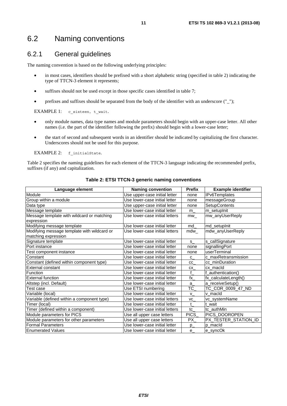### 6.2 Naming conventions

### 6.2.1 General guidelines

The naming convention is based on the following underlying principles:

- in most cases, identifiers should be prefixed with a short alphabetic string (specified in table 2) indicating the type of TTCN-3 element it represents;
- suffixes should not be used except in those specific cases identified in table 7;
- prefixes and suffixes should be separated from the body of the identifier with an underscore  $("_")$ ;

EXAMPLE 1: c sixteen, t wait.

- only module names, data type names and module parameters should begin with an upper-case letter. All other names (i.e. the part of the identifier following the prefix) should begin with a lower-case letter;
- the start of second and subsequent words in an identifier should be indicated by capitalizing the first character. Underscores should not be used for this purpose.

EXAMPLE 2: f\_initialState.

Table 2 specifies the naming guidelines for each element of the TTCN-3 language indicating the recommended prefix, suffixes (if any) and capitalization.

| Language element                            | <b>Naming convention</b>       | <b>Prefix</b> | <b>Example identifier</b> |
|---------------------------------------------|--------------------------------|---------------|---------------------------|
| Module                                      | Use upper-case initial letter  | none          | IPv6Templates             |
| Group within a module                       | Use lower-case initial letter  | none          | messageGroup              |
| Data type                                   | Use upper-case initial letter  | none          | SetupContents             |
| Message template                            | Use lower-case initial letter  | m             | m_setuplnit               |
| Message template with wildcard or matching  | Use lower-case initial letters | mw            | mw_anyUserReply           |
| expression                                  |                                |               |                           |
| Modifying message template                  | Use lower-case initial letter  | md            | md_setupInit              |
| Modifying message template with wildcard or | Use lower-case initial letters | mdw           | mdw_anyUserReply          |
| matching expression                         |                                |               |                           |
| Signature template                          | Use lower-case initial letter  | S.            | s_callSignature           |
| Port instance                               | Use lower-case initial letter  | none          | signallingPort            |
| Test component instance                     | Use lower-case initial letter  | none          | userTerminal              |
| Constant                                    | Use lower-case initial letter  | $\mathbf{C}$  | c_maxRetransmission       |
| Constant (defined within component type)    | Use lower-case initial letter  | cc            | cc_minDuration            |
| <b>External constant</b>                    | Use lower-case initial letter  | CX            | cx_macId                  |
| Function                                    | Use lower-case initial letter  | f             | _authentication()         |
| <b>External function</b>                    | Use lower-case initial letter  | fx            | fx_calculateLength()      |
| Altstep (incl. Default)                     | Use lower-case initial letter  | a             | a_receiveSetup()          |
| Test case                                   | Use ETSI numbering             | TC            | TC_COR_0009_47_ND         |
| Variable (local)                            | Use lower-case initial letter  | V             | v_macld                   |
| Variable (defined within a component type)  | Use lower-case initial letters | VC            | vc_systemName             |
| Timer (local)                               | Use lower-case initial letter  | t             | t_wait                    |
| Timer (defined within a component)          | Use lower-case initial letters | tc            | tc_authMin                |
| Module parameters for PICS                  | Use all upper case letters     | <b>PICS</b>   | PICS_DOOROPEN             |
| Module parameters for other parameters      | Use all upper case letters     | PX            | PX_TESTER_STATION_ID      |
| <b>Formal Parameters</b>                    | Use lower-case initial letter  | $p_{-}$       | p_macId                   |
| <b>Enumerated Values</b>                    | Use lower-case initial letter  | e             | e_syncOk                  |

#### **Table 2: ETSI TTCN-3 generic naming conventions**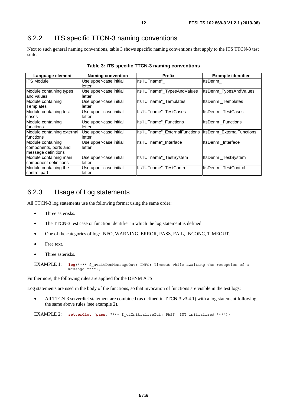### 6.2.2 ITS specific TTCN-3 naming conventions

Next to such general naming conventions, table 3 shows specific naming conventions that apply to the ITS TTCN-3 test suite.

| Language element                                                  | <b>Naming convention</b>         | <b>Prefix</b>                                             | <b>Example identifier</b> |
|-------------------------------------------------------------------|----------------------------------|-----------------------------------------------------------|---------------------------|
| <b>ITS Module</b>                                                 | Use upper-case initial<br>letter | Its"IUTname"                                              | ItsDenm                   |
| Module containing types<br>and values                             | Use upper-case initial<br>letter | Its"IUTname"_TypesAndValues                               | ItsDenm_TypesAndValues    |
| Module containing<br>Templates                                    | Use upper-case initial<br>letter | Its"IUTname" Templates                                    | ItsDenm Templates         |
| Module containing test<br>cases                                   | Use upper-case initial<br>letter | Its"IUTname" TestCases                                    | ItsDenm TestCases         |
| Module containing<br><b>Ifunctions</b>                            | Use upper-case initial<br>letter | Its"IUTname"_Functions                                    | ItsDenm Functions         |
| Module containing external<br>Ifunctions                          | Use upper-case initial<br>letter | Its"IUTname"_ExternalFunctions  ItsDenm_ExternalFunctions |                           |
| Module containing<br>components, ports and<br>message definitions | Use upper-case initial<br>letter | Its"IUTname"_Interface                                    | ItsDenm Interface         |
| Module containing main<br>component definitions                   | Use upper-case initial<br>letter | Its"IUTname" TestSystem                                   | ItsDenm_TestSystem        |
| Module containing the<br>control part                             | Use upper-case initial<br>letter | Its"IUTname" TestControl                                  | ItsDenm TestControl       |

**Table 3: ITS specific TTCN-3 naming conventions** 

#### 6.2.3 Usage of Log statements

All TTCN-3 log statements use the following format using the same order:

- Three asterisks.
- The TTCN-3 test case or function identifier in which the log statement is defined.
- One of the categories of log: INFO, WARNING, ERROR, PASS, FAIL, INCONC, TIMEOUT.
- Free text.
- Three asterisks.

```
EXAMPLE 1: log("*** f_awaitDenMessageOut: INFO: Timeout while awaiting the reception of a 
              message ***");
```
Furthermore, the following rules are applied for the DENM ATS:

Log statements are used in the body of the functions, so that invocation of functions are visible in the test logs:

• All TTCN-3 setverdict statement are combined (as defined in TTCN-3 v3.4.1) with a log statement following the same above rules (see example 2).

EXAMPLE 2: **setverdict** (**pass**, "\*\*\* f\_utInitializeIut: PASS: IUT initialized \*\*\*");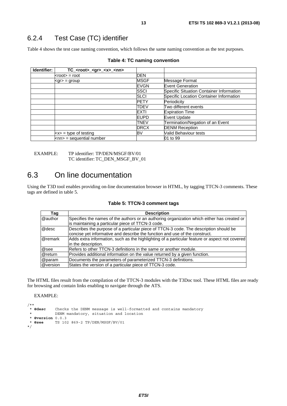### 6.2.4 Test Case (TC) identifier

Table 4 shows the test case naming convention, which follows the same naming convention as the test purposes.

| Identifier: | $TC$ <sub>-</sub> <root>_<gr>_<x>_<nn></nn></x></gr></root> |             |                                          |
|-------------|-------------------------------------------------------------|-------------|------------------------------------------|
|             | $<$ root $>$ = root                                         | DEN         |                                          |
|             | $\leq$ gr $>$ = group                                       | <b>MSGF</b> | Message Format                           |
|             |                                                             | <b>EVGN</b> | <b>Event Generation</b>                  |
|             |                                                             | <b>SSCI</b> | Specific Situation Container Information |
|             |                                                             | <b>SLCI</b> | Specific Location Container Information  |
|             |                                                             | <b>PETY</b> | Periodicity                              |
|             |                                                             | <b>TDEV</b> | Two different events                     |
|             |                                                             | <b>EXTI</b> | <b>Expiration Time</b>                   |
|             |                                                             | <b>EUPD</b> | Event Update                             |
|             |                                                             | <b>TNEV</b> | Termination/Negation of an Event         |
|             |                                                             | <b>DRCX</b> | <b>DENM Reception</b>                    |
|             | $\langle x \rangle$ = type of testing                       | BV          | Valid Behaviour tests                    |
|             | $\textsf{knn}$ = sequential number                          |             | 01 to 99                                 |

|  |  | Table 4: TC naming convention |
|--|--|-------------------------------|
|--|--|-------------------------------|

EXAMPLE: TP identifier: TP/DEN/MSGF/BV/01 TC identifier: TC\_DEN\_MSGF\_BV\_01

### 6.3 On line documentation

Using the T3D tool enables providing on-line documentation browser in HTML, by tagging TTCN-3 comments. These tags are defined in table 5.

|  |  |  | Table 5: TTCN-3 comment tags |  |
|--|--|--|------------------------------|--|
|--|--|--|------------------------------|--|

| Tag        | <b>Description</b>                                                                                                                                                   |
|------------|----------------------------------------------------------------------------------------------------------------------------------------------------------------------|
| @author    | Specifies the names of the authors or an authoring organization which either has created or<br>is maintaining a particular piece of TTCN-3 code.                     |
| @desc      | Describes the purpose of a particular piece of TTCN-3 code. The description should be<br>concise yet informative and describe the function and use of the construct. |
| @remark    | Adds extra information, such as the highlighting of a particular feature or aspect not covered<br>in the description.                                                |
| @see       | Refers to other TTCN-3 definitions in the same or another module.                                                                                                    |
| $@$ return | Provides additional information on the value returned by a given function.                                                                                           |
| @param     | Documents the parameters of parameterized TTCN-3 definitions.                                                                                                        |
| @version   | States the version of a particular piece of TTCN-3 code.                                                                                                             |

The HTML files result from the compilation of the TTCN-3 modules with the T3Doc tool. These HTML files are ready for browsing and contain links enabling to navigate through the ATS.

EXAMPLE:

```
/**<br>* @desc
            Checks the DENM message is well-formatted and contains mandatory
 * DENM mandatory, situation and location 
 * @version 0.0.3 
   * @see TS 102 869-2 TP/DEN/MSGF/BV/01 
*/
```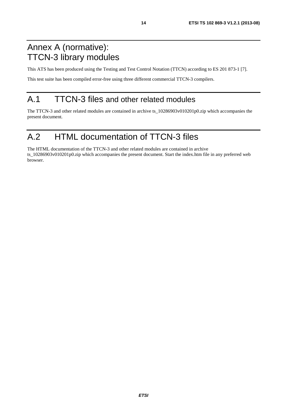## Annex A (normative): TTCN-3 library modules

This ATS has been produced using the Testing and Test Control Notation (TTCN) according to ES 201 873-1 [7].

This test suite has been compiled error-free using three different commercial TTCN-3 compilers.

## A.1 TTCN-3 files and other related modules

The TTCN-3 and other related modules are contained in archive ts\_10286903v010201p0.zip which accompanies the present document.

## A.2 HTML documentation of TTCN-3 files

The HTML documentation of the TTCN-3 and other related modules are contained in archive ts\_10286903v010201p0.zip which accompanies the present document. Start the index.htm file in any preferred web browser.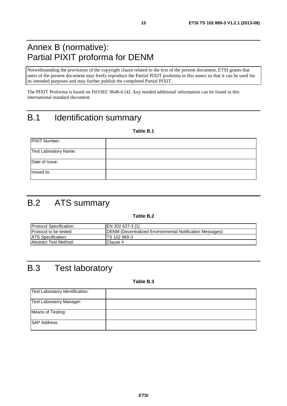## Annex B (normative): Partial PIXIT proforma for DENM

Notwithstanding the provisions of the copyright clause related to the text of the present document, ETSI grants that users of the present document may freely reproduce the Partial PIXIT proforma in this annex so that it can be used for its intended purposes and may further publish the completed Partial PIXIT.

The PIXIT Proforma is based on ISO/IEC 9646-6 [4]. Any needed additional information can be found in this international standard document.

## B.1 Identification summary

**Table B.1** 

| <b>PIXIT Number:</b>         |  |
|------------------------------|--|
| <b>Test Laboratory Name:</b> |  |
| Date of Issue:               |  |
| Issued to:                   |  |

## B.2 ATS summary

#### **Table B.2**

| <b>Protocol Specification:</b> | EN 302 637-3 [1]                                                 |
|--------------------------------|------------------------------------------------------------------|
| <b>Protocol to be tested:</b>  | <b>IDENM (Decentralized Environmental Notification Messages)</b> |
| <b>ATS Specification:</b>      | ITS 102 869-3                                                    |
| <b>Abstract Test Method:</b>   | Clause 4                                                         |

## B.3 Test laboratory

**Table B.3** 

| Test Laboratory Identification: |  |
|---------------------------------|--|
| <b>Test Laboratory Manager:</b> |  |
| Means of Testing:               |  |
| <b>SAP Address:</b>             |  |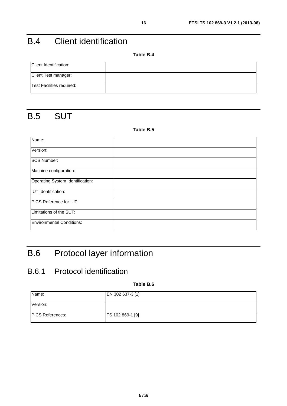## B.4 Client identification

**Table B.4** 

| Client Identification:    |  |
|---------------------------|--|
| Client Test manager:      |  |
| Test Facilities required: |  |

## B.5 SUT

#### **Table B.5**

| Name:                            |  |
|----------------------------------|--|
| Version:                         |  |
| <b>SCS Number:</b>               |  |
| Machine configuration:           |  |
| Operating System Identification: |  |
| <b>IUT</b> Identification:       |  |
| PICS Reference for IUT:          |  |
| Limitations of the SUT:          |  |
| <b>Environmental Conditions:</b> |  |

## B.6 Protocol layer information

### B.6.1 Protocol identification

**Table B.6** 

| Name:                   | EN 302 637-3 [1] |
|-------------------------|------------------|
| Version:                |                  |
| <b>PICS References:</b> | TS 102 869-1 [9] |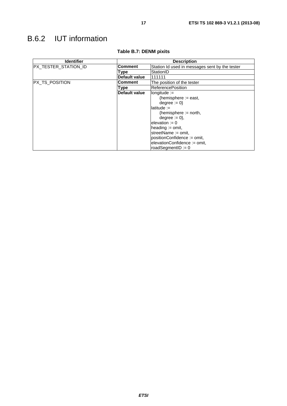## B.6.2 IUT information

| <b>Identifier</b>     | <b>Description</b>   |                                                |  |
|-----------------------|----------------------|------------------------------------------------|--|
| IPX TESTER STATION ID | Comment              | Station Id used in messages sent by the tester |  |
|                       | Type                 | StationID                                      |  |
|                       | <b>Default value</b> | 111111                                         |  |
| PX TS POSITION        | <b>Comment</b>       | The position of the tester                     |  |
|                       | Type                 | <b>ReferencePosition</b>                       |  |
|                       | Default value        | $lonqitude :=$                                 |  |
|                       |                      | {hemisphere $:=$ east,                         |  |
|                       |                      | $degree := 0$                                  |  |
|                       |                      | $lattice :=$                                   |  |
|                       |                      | {hemisphere $:=$ north,                        |  |
|                       |                      | $degree := 0$ ,                                |  |
|                       |                      | elevation := $0$                               |  |
|                       |                      | heading $:=$ omit,                             |  |
|                       |                      | streetName := omit.                            |  |
|                       |                      | positionConfidence := omit,                    |  |
|                       |                      | elevationConfidence := omit,                   |  |
|                       |                      | roadSegmentID := $0$                           |  |

#### **Table B.7: DENM pixits**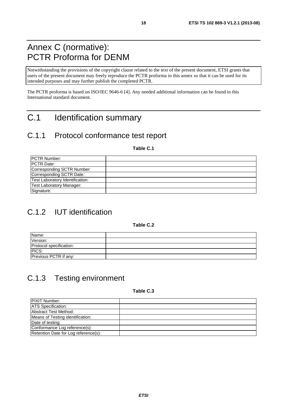## Annex C (normative): PCTR Proforma for DENM

Notwithstanding the provisions of the copyright clause related to the text of the present document, ETSI grants that users of the present document may freely reproduce the PCTR proforma in this annex so that it can be used for its intended purposes and may further publish the completed PCTR.

The PCTR proforma is based on ISO/IEC 9646-6 [4]. Any needed additional information can be found in this International standard document.

## C.1 Identification summary

### C.1.1 Protocol conformance test report

**Table C.1** 

| <b>IPCTR Number:</b>            |  |
|---------------------------------|--|
| <b>IPCTR Date:</b>              |  |
| Corresponding SCTR Number:      |  |
| Corresponding SCTR Date:        |  |
| Test Laboratory Identification: |  |
| Test Laboratory Manager:        |  |
| Signature:                      |  |

## C.1.2 IUT identification

**Table C.2** 

| Name:                   |  |
|-------------------------|--|
| Version:                |  |
| Protocol specification: |  |
| PICS:                   |  |
| Previous PCTR if any:   |  |

## C.1.3 Testing environment

**Table C.3** 

| <b>PIXIT Number:</b>                 |  |
|--------------------------------------|--|
| <b>ATS</b> Specification:            |  |
| Abstract Test Method:                |  |
| Means of Testing identification:     |  |
| Date of testing:                     |  |
| Conformance Log reference(s):        |  |
| Retention Date for Log reference(s): |  |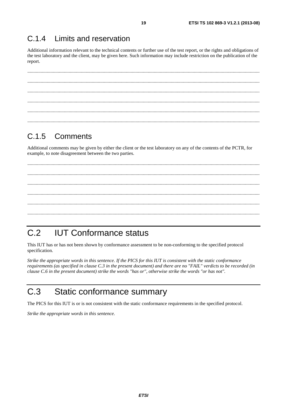#### $C.1.4$ Limits and reservation

Additional information relevant to the technical contents or further use of the test report, or the rights and obligations of the test laboratory and the client, may be given here. Such information may include restriction on the publication of the report.

#### $C.1.5$ Comments

Additional comments may be given by either the client or the test laboratory on any of the contents of the PCTR, for example, to note disagreement between the two parties.

#### $C.2$ **IUT Conformance status**

This IUT has or has not been shown by conformance assessment to be non-conforming to the specified protocol specification.

Strike the appropriate words in this sentence. If the PICS for this IUT is consistent with the static conformance requirements (as specified in clause C.3 in the present document) and there are no "FAIL" verdicts to be recorded (in clause C.6 in the present document) strike the words "has or", otherwise strike the words "or has not".

#### $C.3$ Static conformance summary

The PICS for this IUT is or is not consistent with the static conformance requirements in the specified protocol.

Strike the appropriate words in this sentence.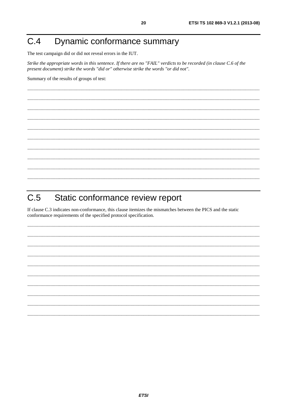#### Dynamic conformance summary  $C.4$

The test campaign did or did not reveal errors in the IUT.

Strike the appropriate words in this sentence. If there are no "FAIL" verdicts to be recorded (in clause C.6 of the present document) strike the words "did or" otherwise strike the words "or did not".

Summary of the results of groups of test:

#### $C.5$ Static conformance review report

If clause C.3 indicates non-conformance, this clause itemizes the mismatches between the PICS and the static conformance requirements of the specified protocol specification.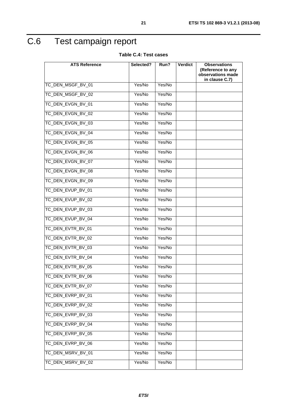## C.6 Test campaign report

**Table C.4: Test cases** 

| <b>ATS Reference</b> | Selected? | Run?   | <b>Verdict</b> | <b>Observations</b>                    |
|----------------------|-----------|--------|----------------|----------------------------------------|
|                      |           |        |                | (Reference to any<br>observations made |
|                      |           |        |                | in clause C.7)                         |
| TC_DEN_MSGF_BV_01    | Yes/No    | Yes/No |                |                                        |
| TC_DEN_MSGF_BV_02    | Yes/No    | Yes/No |                |                                        |
| TC_DEN_EVGN_BV_01    | Yes/No    | Yes/No |                |                                        |
| TC_DEN_EVGN_BV_02    | Yes/No    | Yes/No |                |                                        |
| TC_DEN_EVGN_BV_03    | Yes/No    | Yes/No |                |                                        |
| TC_DEN_EVGN_BV_04    | Yes/No    | Yes/No |                |                                        |
| TC_DEN_EVGN_BV_05    | Yes/No    | Yes/No |                |                                        |
| TC_DEN_EVGN_BV_06    | Yes/No    | Yes/No |                |                                        |
| TC_DEN_EVGN_BV_07    | Yes/No    | Yes/No |                |                                        |
| TC DEN EVGN BV 08    | Yes/No    | Yes/No |                |                                        |
| TC_DEN_EVGN_BV_09    | Yes/No    | Yes/No |                |                                        |
| TC_DEN_EVUP_BV_01    | Yes/No    | Yes/No |                |                                        |
| TC_DEN_EVUP_BV_02    | Yes/No    | Yes/No |                |                                        |
| TC_DEN_EVUP_BV_03    | Yes/No    | Yes/No |                |                                        |
| TC_DEN_EVUP_BV_04    | Yes/No    | Yes/No |                |                                        |
| TC_DEN_EVTR_BV_01    | Yes/No    | Yes/No |                |                                        |
| TC_DEN_EVTR_BV_02    | Yes/No    | Yes/No |                |                                        |
| TC_DEN_EVTR_BV_03    | Yes/No    | Yes/No |                |                                        |
| TC_DEN_EVTR_BV_04    | Yes/No    | Yes/No |                |                                        |
| TC DEN EVTR BV 05    | Yes/No    | Yes/No |                |                                        |
| TC_DEN_EVTR_BV_06    | Yes/No    | Yes/No |                |                                        |
| TC DEN EVTR BV 07    | Yes/No    | Yes/No |                |                                        |
| TC_DEN_EVRP_BV_01    | Yes/No    | Yes/No |                |                                        |
| TC_DEN_EVRP_BV_02    | Yes/No    | Yes/No |                |                                        |
| TC DEN EVRP BV 03    | Yes/No    | Yes/No |                |                                        |
| TC_DEN_EVRP_BV_04    | Yes/No    | Yes/No |                |                                        |
| TC_DEN_EVRP_BV_05    | Yes/No    | Yes/No |                |                                        |
| TC_DEN_EVRP_BV_06    | Yes/No    | Yes/No |                |                                        |
| TC_DEN_MSRV_BV_01    | Yes/No    | Yes/No |                |                                        |
| TC_DEN_MSRV_BV_02    | Yes/No    | Yes/No |                |                                        |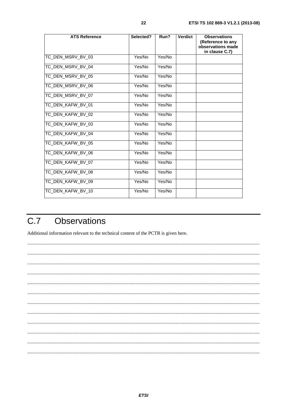| <b>ATS Reference</b> | Selected? | Run?   | <b>Verdict</b> | <b>Observations</b><br>(Reference to any<br>observations made<br>in clause C.7) |
|----------------------|-----------|--------|----------------|---------------------------------------------------------------------------------|
| TC_DEN_MSRV_BV_03    | Yes/No    | Yes/No |                |                                                                                 |
| TC_DEN_MSRV_BV_04    | Yes/No    | Yes/No |                |                                                                                 |
| TC_DEN_MSRV_BV_05    | Yes/No    | Yes/No |                |                                                                                 |
| TC_DEN_MSRV_BV_06    | Yes/No    | Yes/No |                |                                                                                 |
| TC_DEN_MSRV_BV_07    | Yes/No    | Yes/No |                |                                                                                 |
| TC_DEN_KAFW_BV_01    | Yes/No    | Yes/No |                |                                                                                 |
| TC_DEN_KAFW_BV_02    | Yes/No    | Yes/No |                |                                                                                 |
| TC_DEN_KAFW_BV_03    | Yes/No    | Yes/No |                |                                                                                 |
| TC_DEN_KAFW_BV_04    | Yes/No    | Yes/No |                |                                                                                 |
| TC DEN KAFW BV 05    | Yes/No    | Yes/No |                |                                                                                 |
| TC_DEN_KAFW_BV_06    | Yes/No    | Yes/No |                |                                                                                 |
| TC_DEN_KAFW_BV_07    | Yes/No    | Yes/No |                |                                                                                 |
| TC_DEN_KAFW_BV_08    | Yes/No    | Yes/No |                |                                                                                 |
| TC DEN KAFW BV 09    | Yes/No    | Yes/No |                |                                                                                 |
| TC_DEN_KAFW_BV_10    | Yes/No    | Yes/No |                |                                                                                 |

#### $\overline{C.7}$ **Observations**

Additional information relevant to the technical content of the PCTR is given here.